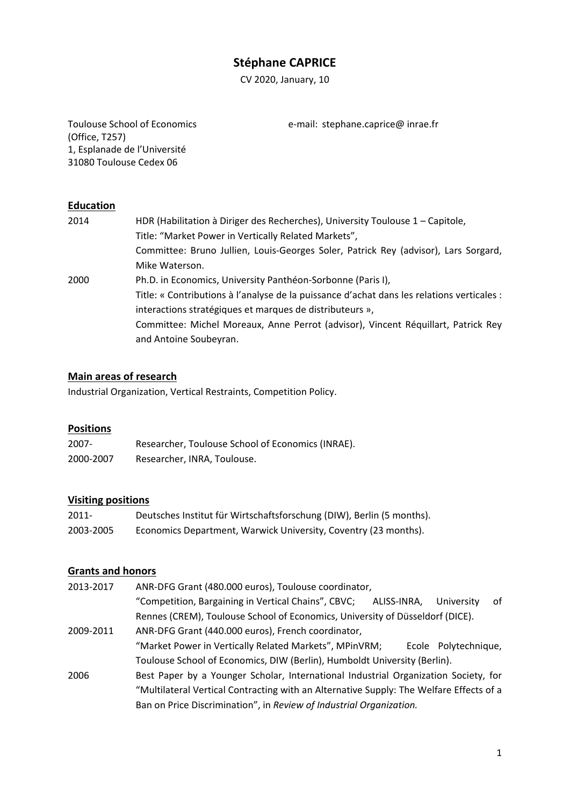# **Stéphane CAPRICE**

CV 2020, January, 10

Toulouse School of Economics (Office, T257) 1, Esplanade de l'Université 31080 Toulouse Cedex 06

e‐mail: stephane.caprice@ inrae.fr

## **Education**

| 2014 | HDR (Habilitation à Diriger des Recherches), University Toulouse 1 - Capitole,             |
|------|--------------------------------------------------------------------------------------------|
|      | Title: "Market Power in Vertically Related Markets",                                       |
|      | Committee: Bruno Jullien, Louis-Georges Soler, Patrick Rey (advisor), Lars Sorgard,        |
|      | Mike Waterson.                                                                             |
| 2000 | Ph.D. in Economics, University Panthéon-Sorbonne (Paris I),                                |
|      | Title: « Contributions à l'analyse de la puissance d'achat dans les relations verticales : |
|      | interactions stratégiques et marques de distributeurs »,                                   |
|      | Committee: Michel Moreaux, Anne Perrot (advisor), Vincent Réquillart, Patrick Rey          |
|      | and Antoine Soubeyran.                                                                     |

#### **Main areas of research**

Industrial Organization, Vertical Restraints, Competition Policy.

#### **Positions**

| $2007 -$  | Researcher, Toulouse School of Economics (INRAE). |
|-----------|---------------------------------------------------|
| 2000-2007 | Researcher, INRA, Toulouse.                       |

#### **Visiting positions**

| $2011 -$  | Deutsches Institut für Wirtschaftsforschung (DIW), Berlin (5 months). |
|-----------|-----------------------------------------------------------------------|
| 2003-2005 | Economics Department, Warwick University, Coventry (23 months).       |

## **Grants and honors**

- 2013‐2017 ANR‐DFG Grant (480.000 euros), Toulouse coordinator, "Competition, Bargaining in Vertical Chains", CBVC; ALISS‐INRA, University of Rennes (CREM), Toulouse School of Economics, University of Düsseldorf (DICE). 2009‐2011 ANR‐DFG Grant (440.000 euros), French coordinator, "Market Power in Vertically Related Markets", MPinVRM; Ecole Polytechnique,
- Toulouse School of Economics, DIW (Berlin), Humboldt University (Berlin). 2006 Best Paper by a Younger Scholar, International Industrial Organization Society, for "Multilateral Vertical Contracting with an Alternative Supply: The Welfare Effects of a Ban on Price Discrimination", in *Review of Industrial Organization.*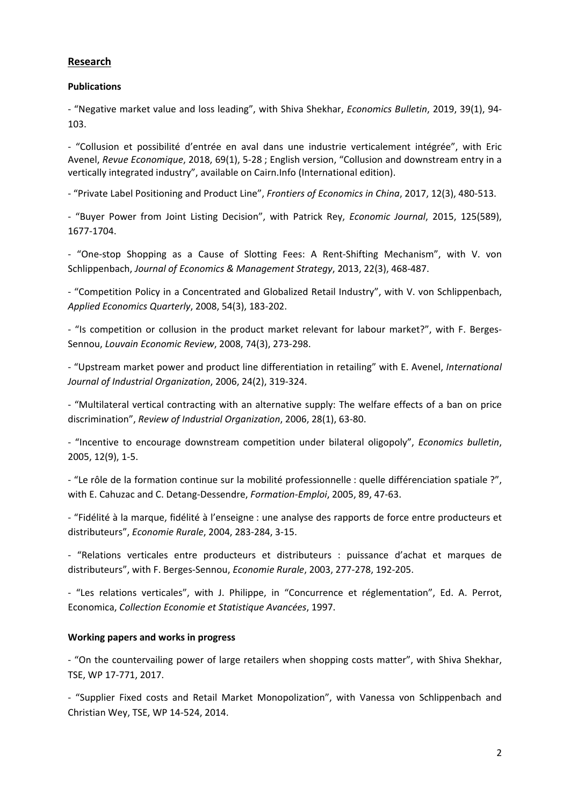## **Research**

## **Publications**

‐ "Negative market value and loss leading", with Shiva Shekhar, *Economics Bulletin*, 2019, 39(1), 94‐ 103.

‐ "Collusion et possibilité d'entrée en aval dans une industrie verticalement intégrée", with Eric Avenel, *Revue Economique*, 2018, 69(1), 5‐28 ; English version, "Collusion and downstream entry in a vertically integrated industry", available on Cairn.Info (International edition).

‐ "Private Label Positioning and Product Line", *Frontiers of Economics in China*, 2017, 12(3), 480‐513.

‐ "Buyer Power from Joint Listing Decision", with Patrick Rey, *Economic Journal*, 2015, 125(589), 1677‐1704.

‐ "One‐stop Shopping as a Cause of Slotting Fees: A Rent‐Shifting Mechanism", with V. von Schlippenbach, *Journal of Economics & Management Strategy*, 2013, 22(3), 468‐487.

‐ "Competition Policy in a Concentrated and Globalized Retail Industry", with V. von Schlippenbach, *Applied Economics Quarterly*, 2008, 54(3), 183‐202.

‐ "Is competition or collusion in the product market relevant for labour market?", with F. Berges‐ Sennou, *Louvain Economic Review*, 2008, 74(3), 273‐298.

‐ "Upstream market power and product line differentiation in retailing" with E. Avenel, *International Journal of Industrial Organization*, 2006, 24(2), 319‐324.

‐ "Multilateral vertical contracting with an alternative supply: The welfare effects of a ban on price discrimination", *Review of Industrial Organization*, 2006, 28(1), 63‐80.

‐ "Incentive to encourage downstream competition under bilateral oligopoly", *Economics bulletin*, 2005, 12(9), 1‐5.

‐ "Le rôle de la formation continue sur la mobilité professionnelle : quelle différenciation spatiale ?", with E. Cahuzac and C. Detang‐Dessendre, *Formation‐Emploi*, 2005, 89, 47‐63.

‐ "Fidélité à la marque, fidélité à l'enseigne : une analyse des rapports de force entre producteurs et distributeurs", *Economie Rurale*, 2004, 283‐284, 3‐15.

‐ "Relations verticales entre producteurs et distributeurs : puissance d'achat et marques de distributeurs", with F. Berges‐Sennou, *Economie Rurale*, 2003, 277‐278, 192‐205.

‐ "Les relations verticales", with J. Philippe, in "Concurrence et réglementation", Ed. A. Perrot, Economica, *Collection Economie et Statistique Avancées*, 1997.

#### **Working papers and works in progress**

‐ "On the countervailing power of large retailers when shopping costs matter", with Shiva Shekhar, TSE, WP 17‐771, 2017.

‐ "Supplier Fixed costs and Retail Market Monopolization", with Vanessa von Schlippenbach and Christian Wey, TSE, WP 14‐524, 2014.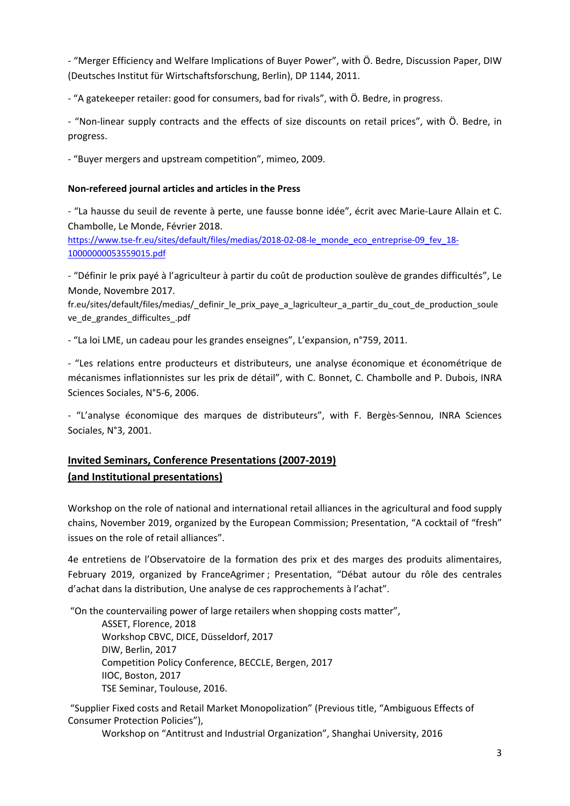‐ "Merger Efficiency and Welfare Implications of Buyer Power", with Ö. Bedre, Discussion Paper, DIW (Deutsches Institut für Wirtschaftsforschung, Berlin), DP 1144, 2011.

‐ "A gatekeeper retailer: good for consumers, bad for rivals", with Ö. Bedre, in progress.

‐ "Non‐linear supply contracts and the effects of size discounts on retail prices", with Ö. Bedre, in progress.

‐ "Buyer mergers and upstream competition", mimeo, 2009.

## **Non‐refereed journal articles and articles in the Press**

‐ "La hausse du seuil de revente à perte, une fausse bonne idée", écrit avec Marie‐Laure Allain et C. Chambolle, Le Monde, Février 2018.

https://www.tse-fr.eu/sites/default/files/medias/2018-02-08-le\_monde\_eco\_entreprise-09\_fev\_18-10000000053559015.pdf

‐ "Définir le prix payé à l'agriculteur à partir du coût de production soulève de grandes difficultés", Le Monde, Novembre 2017.

fr.eu/sites/default/files/medias/\_definir\_le\_prix\_paye\_a\_lagriculteur\_a\_partir\_du\_cout\_de\_production\_soule ve\_de\_grandes\_difficultes\_.pdf

‐ "La loi LME, un cadeau pour les grandes enseignes", L'expansion, n°759, 2011.

‐ "Les relations entre producteurs et distributeurs, une analyse économique et économétrique de mécanismes inflationnistes sur les prix de détail", with C. Bonnet, C. Chambolle and P. Dubois, INRA Sciences Sociales, N°5‐6, 2006.

‐ "L'analyse économique des marques de distributeurs", with F. Bergès‐Sennou, INRA Sciences Sociales, N°3, 2001.

## **Invited Seminars, Conference Presentations (2007‐2019) (and Institutional presentations)**

Workshop on the role of national and international retail alliances in the agricultural and food supply chains, November 2019, organized by the European Commission; Presentation, "A cocktail of "fresh" issues on the role of retail alliances".

4e entretiens de l'Observatoire de la formation des prix et des marges des produits alimentaires, February 2019, organized by FranceAgrimer ; Presentation, "Débat autour du rôle des centrales d'achat dans la distribution, Une analyse de ces rapprochements à l'achat".

"On the countervailing power of large retailers when shopping costs matter",

ASSET, Florence, 2018 Workshop CBVC, DICE, Düsseldorf, 2017 DIW, Berlin, 2017 Competition Policy Conference, BECCLE, Bergen, 2017 IIOC, Boston, 2017 TSE Seminar, Toulouse, 2016.

"Supplier Fixed costs and Retail Market Monopolization" (Previous title, "Ambiguous Effects of Consumer Protection Policies"),

Workshop on "Antitrust and Industrial Organization", Shanghai University, 2016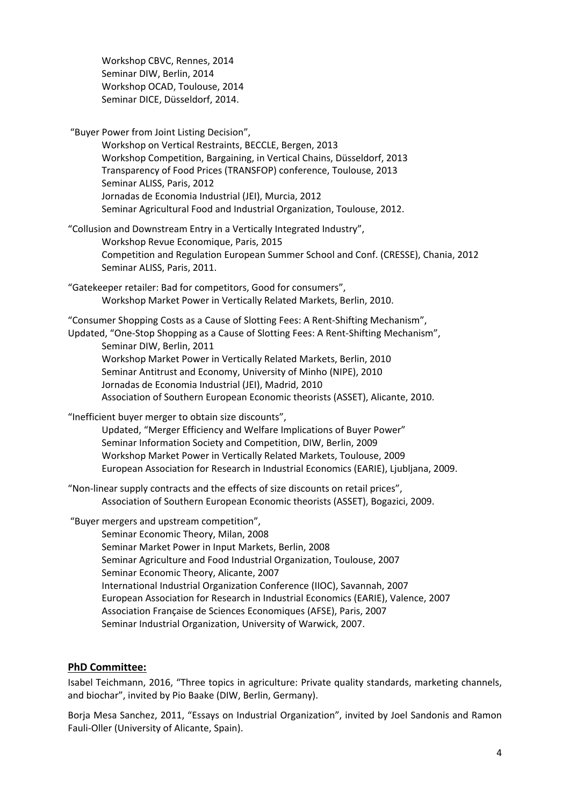Workshop CBVC, Rennes, 2014 Seminar DIW, Berlin, 2014 Workshop OCAD, Toulouse, 2014 Seminar DICE, Düsseldorf, 2014.

"Buyer Power from Joint Listing Decision",

Workshop on Vertical Restraints, BECCLE, Bergen, 2013 Workshop Competition, Bargaining, in Vertical Chains, Düsseldorf, 2013 Transparency of Food Prices (TRANSFOP) conference, Toulouse, 2013 Seminar ALISS, Paris, 2012 Jornadas de Economia Industrial (JEI), Murcia, 2012 Seminar Agricultural Food and Industrial Organization, Toulouse, 2012.

"Collusion and Downstream Entry in a Vertically Integrated Industry", Workshop Revue Economique, Paris, 2015 Competition and Regulation European Summer School and Conf. (CRESSE), Chania, 2012 Seminar ALISS, Paris, 2011.

"Gatekeeper retailer: Bad for competitors, Good for consumers", Workshop Market Power in Vertically Related Markets, Berlin, 2010.

"Consumer Shopping Costs as a Cause of Slotting Fees: A Rent‐Shifting Mechanism", Updated, "One‐Stop Shopping as a Cause of Slotting Fees: A Rent‐Shifting Mechanism", Seminar DIW, Berlin, 2011 Workshop Market Power in Vertically Related Markets, Berlin, 2010 Seminar Antitrust and Economy, University of Minho (NIPE), 2010 Jornadas de Economia Industrial (JEI), Madrid, 2010 Association of Southern European Economic theorists (ASSET), Alicante, 2010.

"Inefficient buyer merger to obtain size discounts",

Updated, "Merger Efficiency and Welfare Implications of Buyer Power" Seminar Information Society and Competition, DIW, Berlin, 2009 Workshop Market Power in Vertically Related Markets, Toulouse, 2009 European Association for Research in Industrial Economics (EARIE), Ljubljana, 2009.

"Non‐linear supply contracts and the effects of size discounts on retail prices", Association of Southern European Economic theorists (ASSET), Bogazici, 2009.

"Buyer mergers and upstream competition",

Seminar Economic Theory, Milan, 2008 Seminar Market Power in Input Markets, Berlin, 2008 Seminar Agriculture and Food Industrial Organization, Toulouse, 2007 Seminar Economic Theory, Alicante, 2007 International Industrial Organization Conference (IIOC), Savannah, 2007 European Association for Research in Industrial Economics (EARIE), Valence, 2007 Association Française de Sciences Economiques (AFSE), Paris, 2007 Seminar Industrial Organization, University of Warwick, 2007.

## **PhD Committee:**

Isabel Teichmann, 2016, "Three topics in agriculture: Private quality standards, marketing channels, and biochar", invited by Pio Baake (DIW, Berlin, Germany).

Borja Mesa Sanchez, 2011, "Essays on Industrial Organization", invited by Joel Sandonis and Ramon Fauli‐Oller (University of Alicante, Spain).